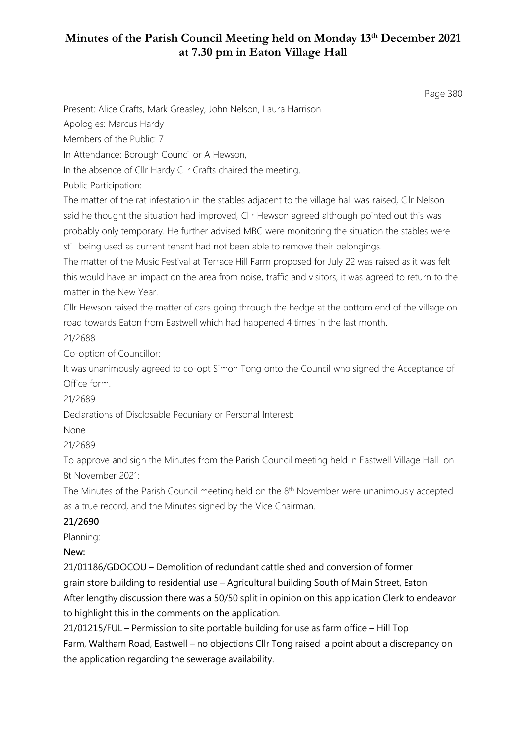Page 380

Present: Alice Crafts, Mark Greasley, John Nelson, Laura Harrison

Apologies: Marcus Hardy

Members of the Public: 7

In Attendance: Borough Councillor A Hewson,

In the absence of Cllr Hardy Cllr Crafts chaired the meeting.

Public Participation:

The matter of the rat infestation in the stables adjacent to the village hall was raised, Cllr Nelson said he thought the situation had improved, Cllr Hewson agreed although pointed out this was probably only temporary. He further advised MBC were monitoring the situation the stables were still being used as current tenant had not been able to remove their belongings.

The matter of the Music Festival at Terrace Hill Farm proposed for July 22 was raised as it was felt this would have an impact on the area from noise, traffic and visitors, it was agreed to return to the matter in the New Year.

Cllr Hewson raised the matter of cars going through the hedge at the bottom end of the village on road towards Eaton from Eastwell which had happened 4 times in the last month.

21/2688

Co-option of Councillor:

It was unanimously agreed to co-opt Simon Tong onto the Council who signed the Acceptance of Office form.

21/2689

Declarations of Disclosable Pecuniary or Personal Interest:

None

21/2689

To approve and sign the Minutes from the Parish Council meeting held in Eastwell Village Hall on 8t November 2021:

The Minutes of the Parish Council meeting held on the  $8<sup>th</sup>$  November were unanimously accepted as a true record, and the Minutes signed by the Vice Chairman.

#### **21/2690**

Planning:

#### **New:**

21/01186/GDOCOU – Demolition of redundant cattle shed and conversion of former grain store building to residential use – Agricultural building South of Main Street, Eaton After lengthy discussion there was a 50/50 split in opinion on this application Clerk to endeavor to highlight this in the comments on the application.

21/01215/FUL – Permission to site portable building for use as farm office – Hill Top Farm, Waltham Road, Eastwell – no objections Cllr Tong raised a point about a discrepancy on the application regarding the sewerage availability.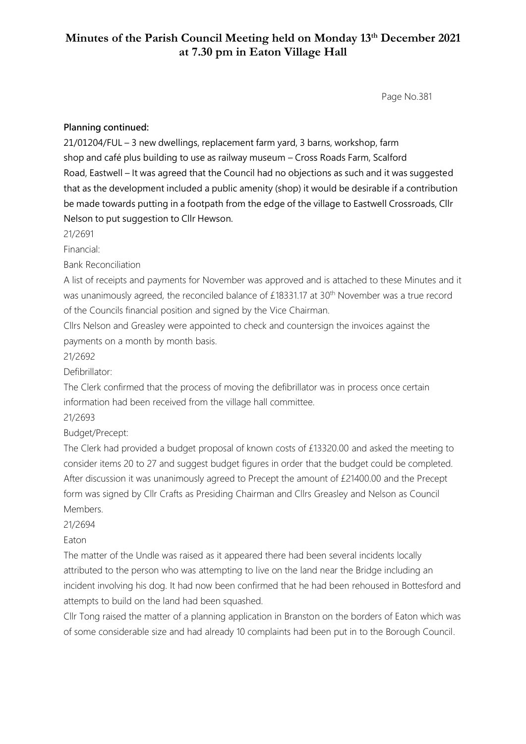Page No.381

#### **Planning continued:**

21/01204/FUL – 3 new dwellings, replacement farm yard, 3 barns, workshop, farm shop and café plus building to use as railway museum – Cross Roads Farm, Scalford Road, Eastwell – It was agreed that the Council had no objections as such and it was suggested that as the development included a public amenity (shop) it would be desirable if a contribution be made towards putting in a footpath from the edge of the village to Eastwell Crossroads, Cllr Nelson to put suggestion to Cllr Hewson.

21/2691

Financial:

Bank Reconciliation

A list of receipts and payments for November was approved and is attached to these Minutes and it was unanimously agreed, the reconciled balance of £18331.17 at 30<sup>th</sup> November was a true record of the Councils financial position and signed by the Vice Chairman.

Cllrs Nelson and Greasley were appointed to check and countersign the invoices against the payments on a month by month basis.

21/2692

Defibrillator:

The Clerk confirmed that the process of moving the defibrillator was in process once certain information had been received from the village hall committee.

21/2693

Budget/Precept:

The Clerk had provided a budget proposal of known costs of £13320.00 and asked the meeting to consider items 20 to 27 and suggest budget figures in order that the budget could be completed. After discussion it was unanimously agreed to Precept the amount of £21400.00 and the Precept form was signed by Cllr Crafts as Presiding Chairman and Cllrs Greasley and Nelson as Council Members.

21/2694

Eaton

The matter of the Undle was raised as it appeared there had been several incidents locally attributed to the person who was attempting to live on the land near the Bridge including an incident involving his dog. It had now been confirmed that he had been rehoused in Bottesford and attempts to build on the land had been squashed.

Cllr Tong raised the matter of a planning application in Branston on the borders of Eaton which was of some considerable size and had already 10 complaints had been put in to the Borough Council.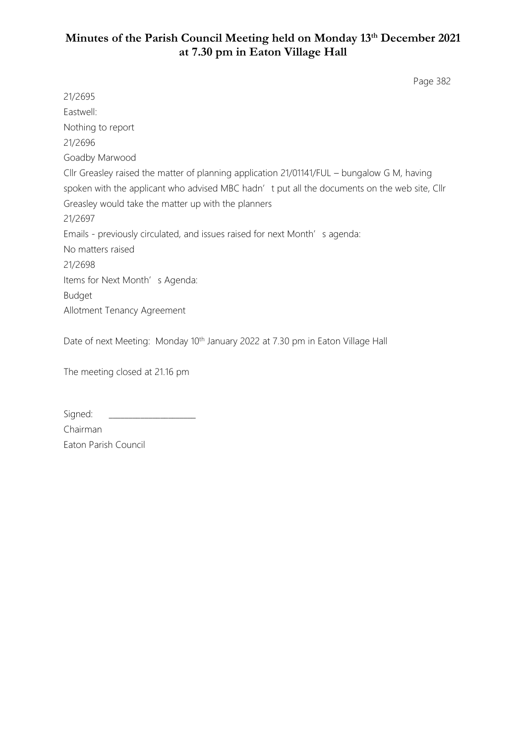Page 382

21/2695 Eastwell: Nothing to report 21/2696 Goadby Marwood Cllr Greasley raised the matter of planning application 21/01141/FUL – bungalow G M, having spoken with the applicant who advised MBC hadn't put all the documents on the web site, Cllr Greasley would take the matter up with the planners 21/2697 Emails - previously circulated, and issues raised for next Month's agenda: No matters raised 21/2698 Items for Next Month's Agenda: Budget Allotment Tenancy Agreement

Date of next Meeting: Monday 10<sup>th</sup> January 2022 at 7.30 pm in Eaton Village Hall

The meeting closed at 21.16 pm

| Signed:              |
|----------------------|
| Chairman             |
| Eaton Parish Council |